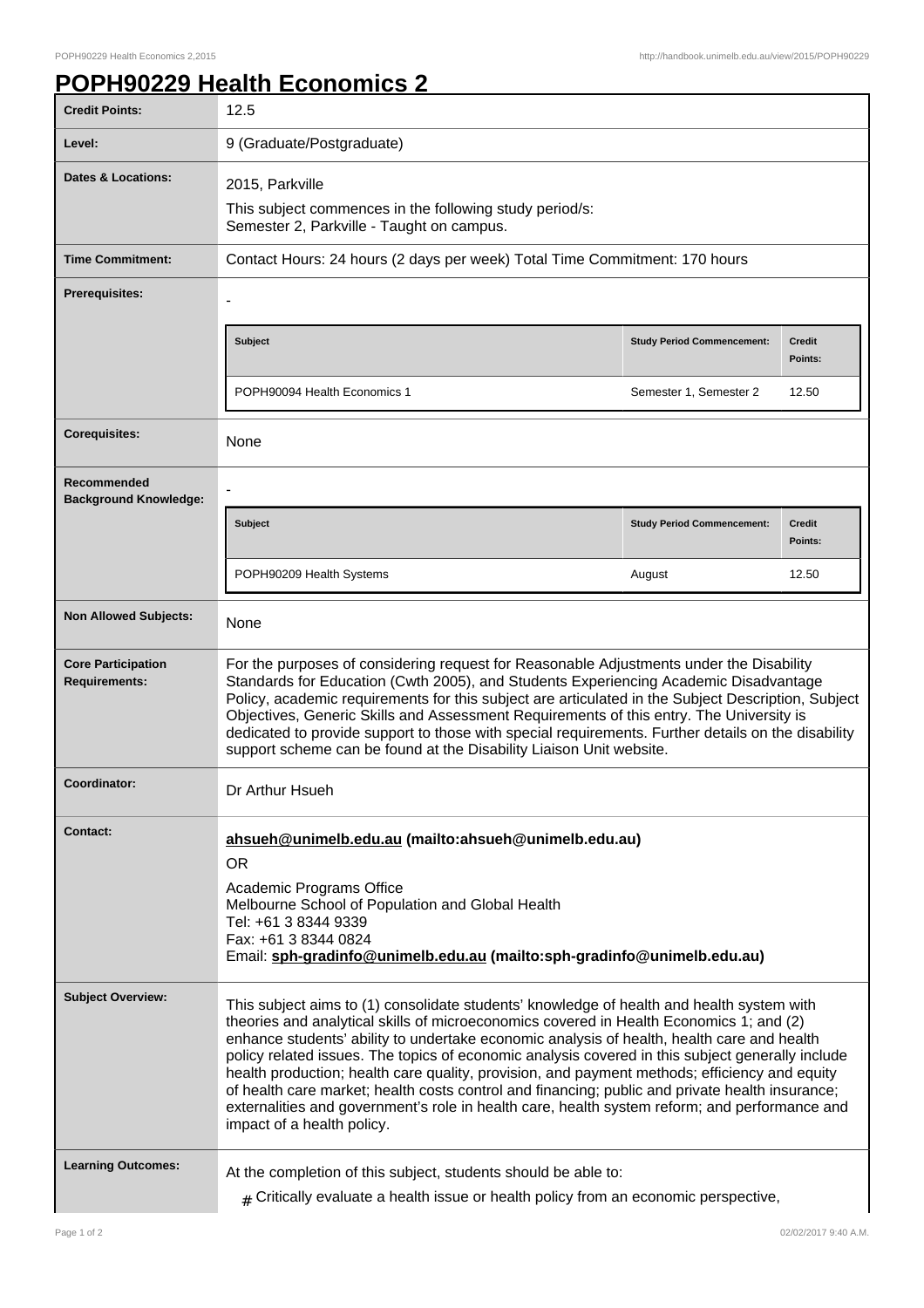## **POPH90229 Health Economics 2**

| <b>Credit Points:</b>                             | 12.5                                                                                                                                                                                                                                                                                                                                                                                                                                                                                                                                                                                                                                                                                                                      |                                   |                          |
|---------------------------------------------------|---------------------------------------------------------------------------------------------------------------------------------------------------------------------------------------------------------------------------------------------------------------------------------------------------------------------------------------------------------------------------------------------------------------------------------------------------------------------------------------------------------------------------------------------------------------------------------------------------------------------------------------------------------------------------------------------------------------------------|-----------------------------------|--------------------------|
| Level:                                            | 9 (Graduate/Postgraduate)                                                                                                                                                                                                                                                                                                                                                                                                                                                                                                                                                                                                                                                                                                 |                                   |                          |
| <b>Dates &amp; Locations:</b>                     | 2015, Parkville                                                                                                                                                                                                                                                                                                                                                                                                                                                                                                                                                                                                                                                                                                           |                                   |                          |
|                                                   | This subject commences in the following study period/s:<br>Semester 2, Parkville - Taught on campus.                                                                                                                                                                                                                                                                                                                                                                                                                                                                                                                                                                                                                      |                                   |                          |
| <b>Time Commitment:</b>                           | Contact Hours: 24 hours (2 days per week) Total Time Commitment: 170 hours                                                                                                                                                                                                                                                                                                                                                                                                                                                                                                                                                                                                                                                |                                   |                          |
| <b>Prerequisites:</b>                             |                                                                                                                                                                                                                                                                                                                                                                                                                                                                                                                                                                                                                                                                                                                           |                                   |                          |
|                                                   | <b>Subject</b>                                                                                                                                                                                                                                                                                                                                                                                                                                                                                                                                                                                                                                                                                                            | <b>Study Period Commencement:</b> | <b>Credit</b><br>Points: |
|                                                   | POPH90094 Health Economics 1                                                                                                                                                                                                                                                                                                                                                                                                                                                                                                                                                                                                                                                                                              | Semester 1, Semester 2            | 12.50                    |
| <b>Corequisites:</b>                              | None                                                                                                                                                                                                                                                                                                                                                                                                                                                                                                                                                                                                                                                                                                                      |                                   |                          |
| Recommended<br><b>Background Knowledge:</b>       |                                                                                                                                                                                                                                                                                                                                                                                                                                                                                                                                                                                                                                                                                                                           |                                   |                          |
|                                                   | <b>Subject</b>                                                                                                                                                                                                                                                                                                                                                                                                                                                                                                                                                                                                                                                                                                            | <b>Study Period Commencement:</b> | <b>Credit</b><br>Points: |
|                                                   | POPH90209 Health Systems                                                                                                                                                                                                                                                                                                                                                                                                                                                                                                                                                                                                                                                                                                  | August                            | 12.50                    |
| <b>Non Allowed Subjects:</b>                      | None                                                                                                                                                                                                                                                                                                                                                                                                                                                                                                                                                                                                                                                                                                                      |                                   |                          |
| <b>Core Participation</b><br><b>Requirements:</b> | For the purposes of considering request for Reasonable Adjustments under the Disability<br>Standards for Education (Cwth 2005), and Students Experiencing Academic Disadvantage<br>Policy, academic requirements for this subject are articulated in the Subject Description, Subject<br>Objectives, Generic Skills and Assessment Requirements of this entry. The University is<br>dedicated to provide support to those with special requirements. Further details on the disability<br>support scheme can be found at the Disability Liaison Unit website.                                                                                                                                                             |                                   |                          |
| Coordinator:                                      | Dr Arthur Hsueh                                                                                                                                                                                                                                                                                                                                                                                                                                                                                                                                                                                                                                                                                                           |                                   |                          |
| Contact:                                          | ahsueh@unimelb.edu.au (mailto:ahsueh@unimelb.edu.au)<br><b>OR</b><br>Academic Programs Office<br>Melbourne School of Population and Global Health<br>Tel: +61 3 8344 9339<br>Fax: +61 3 8344 0824<br>Email: sph-gradinfo@unimelb.edu.au (mailto:sph-gradinfo@unimelb.edu.au)                                                                                                                                                                                                                                                                                                                                                                                                                                              |                                   |                          |
| <b>Subject Overview:</b>                          | This subject aims to (1) consolidate students' knowledge of health and health system with<br>theories and analytical skills of microeconomics covered in Health Economics 1; and (2)<br>enhance students' ability to undertake economic analysis of health, health care and health<br>policy related issues. The topics of economic analysis covered in this subject generally include<br>health production; health care quality, provision, and payment methods; efficiency and equity<br>of health care market; health costs control and financing; public and private health insurance;<br>externalities and government's role in health care, health system reform; and performance and<br>impact of a health policy. |                                   |                          |
| <b>Learning Outcomes:</b>                         | At the completion of this subject, students should be able to:<br>$#$ Critically evaluate a health issue or health policy from an economic perspective,                                                                                                                                                                                                                                                                                                                                                                                                                                                                                                                                                                   |                                   |                          |